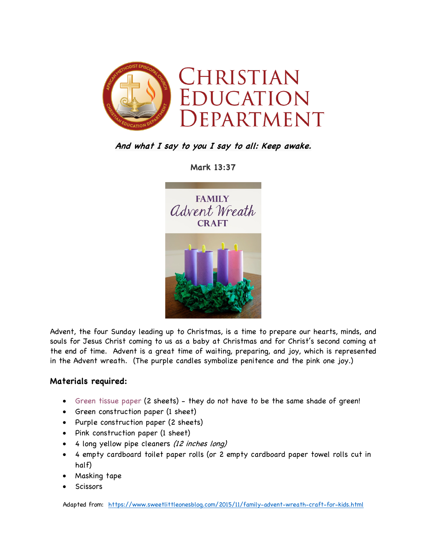

**And what I say to you I say to all: Keep awake.**

**Mark 13:37**



Advent, the four Sunday leading up to Christmas, is a time to prepare our hearts, minds, and souls for Jesus Christ coming to us as a baby at Christmas and for Christ's second coming at the end of time. Advent is a great time of waiting, preparing, and joy, which is represented in the Advent wreath. (The purple candles symbolize penitence and the pink one joy.)

## **Materials required:**

- Green tissue paper (2 sheets) they do not have to be the same shade of green!
- Green construction paper (1 sheet)
- Purple construction paper (2 sheets)
- Pink construction paper (1 sheet)
- 4 long yellow pipe cleaners (12 inches long)
- 4 empty cardboard toilet paper rolls (or 2 empty cardboard paper towel rolls cut in half)
- Masking tape
- **Scissors**

Adapted from: https://www.sweetlittleonesblog.com/2015/11/family-advent-wreath-craft-for-kids.html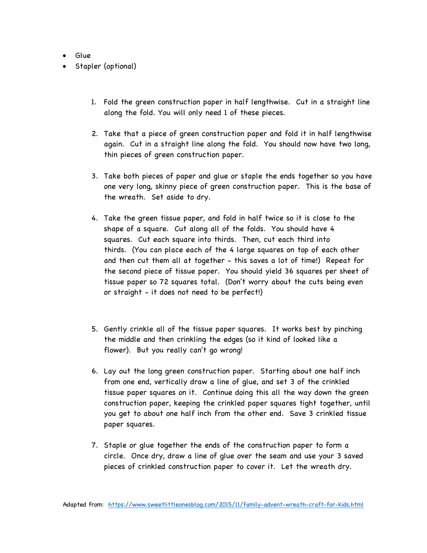- Glue
- Stapler (optional)
	- 1. Fold the green construction paper in half lengthwise. Cut in a straight line along the fold. You will only need 1 of these pieces.
	- 2. Take that a piece of green construction paper and fold it in half lengthwise again. Cut in a straight line along the fold. You should now have two long, thin pieces of green construction paper.
	- 3. Take both pieces of paper and glue or staple the ends together so you have one very long, skinny piece of green construction paper. This is the base of the wreath. Set aside to dry.
	- 4. Take the green tissue paper, and fold in half twice so it is close to the shape of a square. Cut along all of the folds. You should have 4 squares. Cut each square into thirds. Then, cut each third into thirds. (You can place each of the 4 large squares on top of each other and then cut them all at together - this saves a lot of time!) Repeat for the second piece of tissue paper. You should yield 36 squares per sheet of tissue paper so 72 squares total. (Don't worry about the cuts being even or straight - it does not need to be perfect!)
	- 5. Gently crinkle all of the tissue paper squares. It works best by pinching the middle and then crinkling the edges (so it kind of looked like a flower). But you really can't go wrong!
	- 6. Lay out the long green construction paper. Starting about one half inch from one end, vertically draw a line of glue, and set 3 of the crinkled tissue paper squares on it. Continue doing this all the way down the green construction paper, keeping the crinkled paper squares tight together, until you get to about one half inch from the other end. Save 3 crinkled tissue paper squares.
	- 7. Staple or glue together the ends of the construction paper to form a circle. Once dry, draw a line of glue over the seam and use your 3 saved pieces of crinkled construction paper to cover it. Let the wreath dry.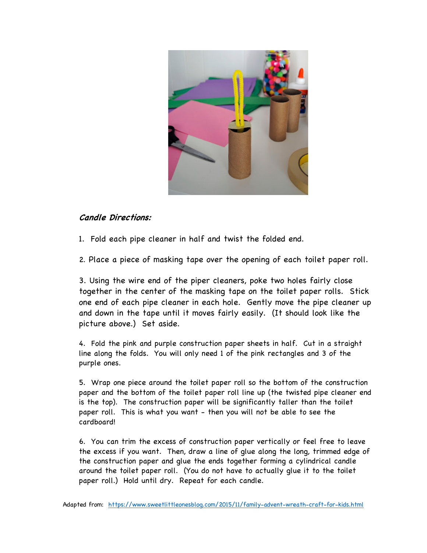

## **Candle Directions:**

1. Fold each pipe cleaner in half and twist the folded end.

2. Place a piece of masking tape over the opening of each toilet paper roll.

3. Using the wire end of the piper cleaners, poke two holes fairly close together in the center of the masking tape on the toilet paper rolls. Stick one end of each pipe cleaner in each hole. Gently move the pipe cleaner up and down in the tape until it moves fairly easily. (It should look like the picture above.) Set aside.

4. Fold the pink and purple construction paper sheets in half. Cut in a straight line along the folds. You will only need 1 of the pink rectangles and 3 of the purple ones.

5. Wrap one piece around the toilet paper roll so the bottom of the construction paper and the bottom of the toilet paper roll line up (the twisted pipe cleaner end is the top). The construction paper will be significantly taller than the toilet paper roll. This is what you want - then you will not be able to see the cardboard!

6. You can trim the excess of construction paper vertically or feel free to leave the excess if you want. Then, draw a line of glue along the long, trimmed edge of the construction paper and glue the ends together forming a cylindrical candle around the toilet paper roll. (You do not have to actually glue it to the toilet paper roll.) Hold until dry. Repeat for each candle.